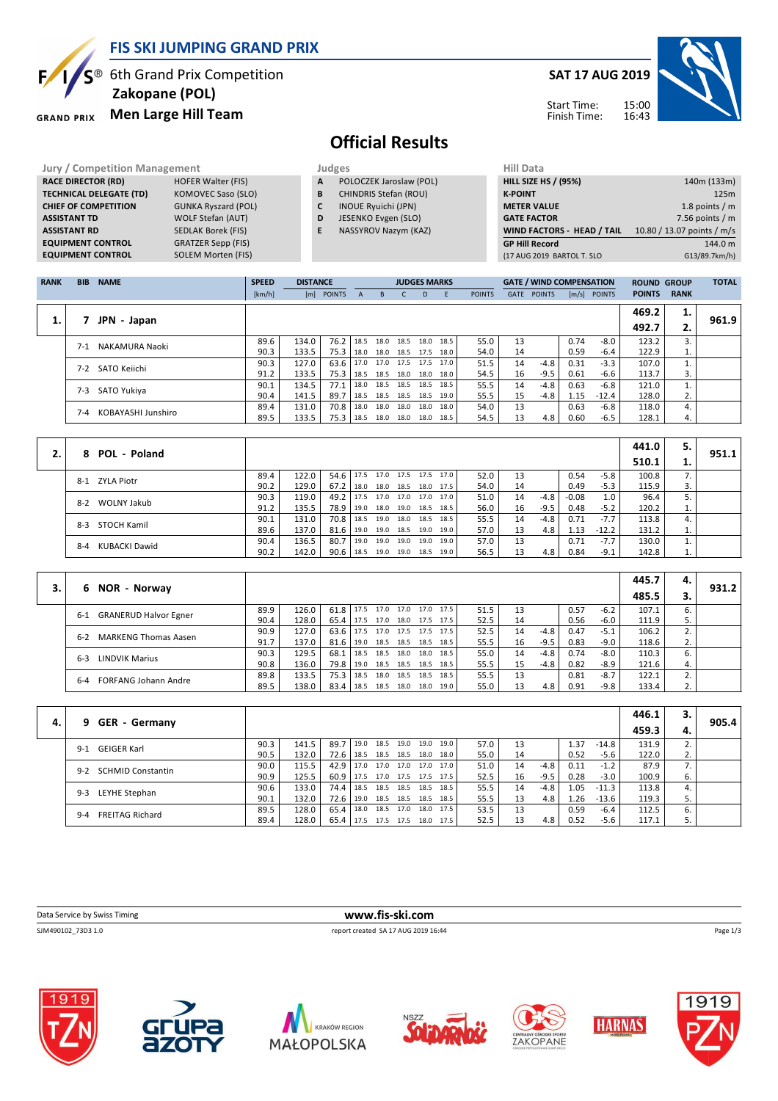

**SAT 17 AUG 2019**



Start Time: Finish Time:

## **Official Results**

**Jury / Competition Management Judges Hill Databally Hill Databally Hill Databally Hill Databally Hill Databally RACE DIRECTOR (RD)** HOFER Walter (FIS) **TECHNICAL DELEGATE (TD)** KOMOVEC Saso (SLO)<br> **CHIEF OF COMPETITION** GUNKA Ryszard (POL) **CHIEF OF COMPETITION ASSISTANT TD** WOLF Stefan (AUT) **ASSISTANT RD** SEDLAK Borek (FIS)<br>**EQUIPMENT CONTROL** GRATZER Sepp (FIS) **EQUIPMENT CONTROL** 

**GRAND PRIX** 

**EQUIPMENT CONTROL GRATZER Sepp (FIS)**<br>**EQUIPMENT CONTROL SOLEM Morten (FIS)** 

**A** POLOCZEK Jaroslaw (POL)

- **B** CHINDRIS Stefan (ROU)
- **C** INOUE Ryuichi (JPN)
- **D** JESENKO Evgen (SLO)
- **E** NASSYROV Nazym (KAZ)

| 140m (133m)                |
|----------------------------|
| 125m                       |
| 1.8 points $/m$            |
| 7.56 points $/m$           |
| 10.80 / 13.07 points / m/s |
| 144.0 m                    |
| G13/89.7km/h)              |
|                            |

| <b>RANK</b> | <b>BIB</b> | <b>NAME</b>        | <b>SPEED</b> | <b>DISTANCE</b> |            |              |           |                     | <b>JUDGES MARKS</b> |           |               |             | <b>GATE / WIND COMPENSATION</b> |      |                | <b>ROUND GROUP</b> |             | <b>TOTAL</b> |
|-------------|------------|--------------------|--------------|-----------------|------------|--------------|-----------|---------------------|---------------------|-----------|---------------|-------------|---------------------------------|------|----------------|--------------------|-------------|--------------|
|             |            |                    | [km/h]       |                 | [m] POINTS | $\mathsf{A}$ | B.        | C.                  | D                   | E         | <b>POINTS</b> | <b>GATE</b> | <b>POINTS</b>                   |      | $[m/s]$ POINTS | <b>POINTS</b>      | <b>RANK</b> |              |
|             |            |                    |              |                 |            |              |           |                     |                     |           |               |             |                                 |      |                | 469.2              | 1.          |              |
| ı.          |            | JPN - Japan        |              |                 |            |              |           |                     |                     |           |               |             |                                 |      |                | 492.7              | 2.          | 961.9        |
|             | $7-1$      | NAKAMURA Naoki     | 89.6         | 134.0           | 76.2       | 18.5         | 18.0      | 18.5 18.0 18.5      |                     |           | 55.0          | 13          |                                 | 0.74 | -8.0           | 123.2              | 3.          |              |
|             |            |                    | 90.3         | 133.5           | 75.3       | 18.0         |           | 18.0 18.5 17.5      |                     | 18.0      | 54.0          | 14          |                                 | 0.59 | $-6.4$         | 122.9              | 1.          |              |
|             | $7-2$      | SATO Keiichi       | 90.3         | 127.0           | 63.6       | 17.0         |           | 17.0 17.5 17.5      |                     | 17.0 l    | 51.5          | 14          | $-4.8$                          | 0.31 | $-3.3$         | 107.0              |             |              |
|             |            |                    | 91.2         | 133.5           | 75.3       | 18.5         |           | 18.5 18.0 18.0 18.0 |                     |           | 54.5          | 16          | $-9.5$                          | 0.61 | $-6.6$         | 113.7              | 3.          |              |
|             | $7-3$      | SATO Yukiya        | 90.1         | 134.5           | 77.1       | 18.0         | 18.5      | 18.5 18.5           |                     | 18.5      | 55.5          | 14          | $-4.8$                          | 0.63 | $-6.8$         | 121.0              |             |              |
|             |            |                    | 90.4         | 141.5           | 89.7       | 18.5         |           | 18.5 18.5 18.5      |                     | 19.0      | 55.5          | 15          | $-4.8$                          | 1.15 | $-12.4$        | 128.0              | 2.          |              |
|             | $7 - 4$    | KOBAYASHI Junshiro | 89.4         | 131.0           | 70.8       | 18.0         | 18.0 18.0 |                     | 18.0                | 18.0      | 54.0          | 13          |                                 | 0.63 | $-6.8$         | 118.0              | 4.          |              |
|             |            |                    | 89.5         | 133.5           | 75.3       | 18.5         | 18.0      | 18.0                |                     | 18.0 18.5 | 54.5          | 13          | 4.8                             | 0.60 | $-6.5$         | 128.1              | 4.          |              |

|    |                          |      |       |           |      |                |                |                     |      |    |        |         |         | 441.0 | 5. |       |
|----|--------------------------|------|-------|-----------|------|----------------|----------------|---------------------|------|----|--------|---------|---------|-------|----|-------|
| 2. | 8 POL - Poland           |      |       |           |      |                |                |                     |      |    |        |         |         | 510.1 | ı. | 951.1 |
|    | ZYLA Piotr<br>$8-1$      | 89.4 | 122.0 | 54.6 17.5 |      |                |                | 17.0 17.5 17.5 17.0 | 52.0 | 13 |        | 0.54    | $-5.8$  | 100.8 | 7. |       |
|    |                          | 90.2 | 129.0 | $67.2$ I  | 18.0 |                | 18.0 18.5 18.0 | 17.5                | 54.0 | 14 |        | 0.49    | $-5.3$  | 115.9 | 3. |       |
|    | 8-2 WOLNY Jakub          | 90.3 | 119.0 | 49.2 17.5 |      |                | 17.0 17.0 17.0 | 17.0                | 51.0 | 14 | $-4.8$ | $-0.08$ |         | 96.4  | 5. |       |
|    |                          | 91.2 | 135.5 | 78.9 l    | 19.0 | 18.0 19.0 18.5 |                | 18.5                | 56.0 | 16 | $-9.5$ | 0.48    | $-5.2$  | 120.2 | 1. |       |
|    | STOCH Kamil<br>$8-3$     | 90.1 | 131.0 | 70.8 l    | 18.5 | 19.0 18.0 18.5 |                | 18.5                | 55.5 | 14 | -4.8   | 0.71    | $-7.7$  | 113.8 | 4. |       |
|    |                          | 89.6 | 137.0 | 81.6      | 19.0 | 19.0 18.5 19.0 |                | 19.0                | 57.0 | 13 | 4.8    | 1.13    | $-12.2$ | 131.2 | 1. |       |
|    | KUBACKI Dawid<br>$8 - 4$ | 90.4 | 136.5 | 80.7      | 19.0 | 19.0 19.0 19.0 |                | 19.0                | 57.0 | 13 |        | 0.71    | $-7.7$  | 130.0 | 1. |       |
|    |                          | 90.2 | 142.0 | 90.6      | 18.5 | 19.0 19.0 18.5 |                | 19.0                | 56.5 | 13 | 4.8    | 0.84    | $-9.1$  | 142.8 | 1. |       |

|    |                                         |      |       |                            |      |      |                |      |                     |      |    |        |      |        | 445.7 | 4. |       |
|----|-----------------------------------------|------|-------|----------------------------|------|------|----------------|------|---------------------|------|----|--------|------|--------|-------|----|-------|
| 3. | NOR - Norway<br>6.                      |      |       |                            |      |      |                |      |                     |      |    |        |      |        | 485.5 | 3. | 931.2 |
|    | <b>GRANERUD Halvor Egner</b><br>$6 - 1$ | 89.9 | 126.0 | $61.8$   17.5              |      |      |                |      | 17.0 17.0 17.0 17.5 | 51.5 | 13 |        | 0.57 | $-6.2$ | 107.1 | 6. |       |
|    |                                         | 90.4 | 128.0 | 65.4                       | 17.5 | 17.0 | 18.0 17.5      |      | 17.5                | 52.5 | 14 |        | 0.56 | $-6.0$ | 111.9 | 5. |       |
|    | <b>MARKENG Thomas Aasen</b><br>$6 - 2$  | 90.9 | 127.0 | $63.6$   17.5              |      |      | 17.0 17.5 17.5 |      | 17.5                | 52.5 | 14 | -4.8   | 0.47 | $-5.1$ | 106.2 | z. |       |
|    |                                         | 91.7 | 137.0 | 81.6   19.0 18.5 18.5 18.5 |      |      |                |      | 18.5                | 55.5 | 16 | $-9.5$ | 0.83 | $-9.0$ | 118.6 | 2. |       |
|    | LINDVIK Marius<br>$6 - 3$               | 90.3 | 129.5 | 68.1                       | 18.5 | 18.5 | 18.0           | 18.0 | 18.5                | 55.0 | 14 | -4.8   | 0.74 | -8.0   | 110.3 | 6. |       |
|    |                                         | 90.8 | 136.0 | 79.8                       | 19.0 |      | 18.5 18.5 18.5 |      | 18.5                | 55.5 | 15 | -4.8   | 0.82 | -8.9   | 121.6 | 4. |       |
|    | <b>FORFANG Johann Andre</b><br>$6 - 4$  | 89.8 | 133.5 | 75.3                       | 18.5 | 18.0 | 18.5           | 18.5 | 18.5                | 55.5 | 13 |        | 0.81 | $-8.7$ | 122.1 |    |       |
|    |                                         | 89.5 | 138.0 | 83.4                       | 18.5 | 18.5 | 18.0           | 18.0 | 19.0                | 55.0 | 13 | 4.8    | 0.91 | $-9.8$ | 133.4 | 2. |       |

|    |                                   |      |       |      |      |                |                |      |      |    |        |      |         | 446.1 | з. |       |
|----|-----------------------------------|------|-------|------|------|----------------|----------------|------|------|----|--------|------|---------|-------|----|-------|
| 4. | 9 GER - Germany                   |      |       |      |      |                |                |      |      |    |        |      |         | 459.3 |    | 905.4 |
|    | GEIGER Karl<br>$9-1$              | 90.3 | 141.5 | 89.7 | 19.0 | 18.5 19.0      | 19.0           | 19.0 | 57.0 | 13 |        | l.37 | $-14.8$ | 131.9 |    |       |
|    |                                   | 90.5 | 132.0 | 72.6 | 18.5 | 18.5 18.5 18.0 |                | 18.0 | 55.0 | 14 |        | 0.52 | $-5.6$  | 122.0 | 2. |       |
|    | <b>SCHMID Constantin</b><br>$9-2$ | 90.0 | 115.5 | 42.9 | 17.0 |                | 17.0 17.0 17.0 | 17.0 | 51.0 | 14 | $-4.8$ | 0.11 | $-1.2$  | 87.9  |    |       |
|    |                                   | 90.9 | 125.5 | 60.9 | 17.5 | 17.0 17.5 17.5 |                | 17.5 | 52.5 | 16 | $-9.5$ | 0.28 | $-3.0$  | 100.9 | 6. |       |
|    | LEYHE Stephan<br>$9-3$            | 90.6 | 133.0 | 74.4 | 18.5 | 18.5 18.5 18.5 |                | 18.5 | 55.5 | 14 | $-4.8$ | 1.05 | $-11.3$ | 113.8 | 4. |       |
|    |                                   | 90.1 | 132.0 | 72.6 | 19.0 | 18.5 18.5 18.5 |                | 18.5 | 55.5 | 13 | 4.8    | 1.26 | $-13.6$ | 119.3 | 5. |       |
|    | <b>FREITAG Richard</b><br>$9 - 4$ | 89.5 | 128.0 | 65.4 | 18.0 | 18.5 17.0      | 18.0           | 17.5 | 53.5 | 13 |        | 0.59 | $-6.4$  | 112.5 | 6. |       |
|    |                                   | 89.4 | 128.0 | 65.4 | 17.5 | 17.5 17.5      | 18.0 17.5      |      | 52.5 | 13 | 4.8    | 0.52 | $-5.6$  | 117.1 |    |       |

| Data<br>ta Service by Swiss Timing | <b>WWW</b><br>.com                 |
|------------------------------------|------------------------------------|
| SIM490102 73D3 1.<br>.             | 7 AUG 2019 16:44<br>renor<br>ronto |















Page 1/3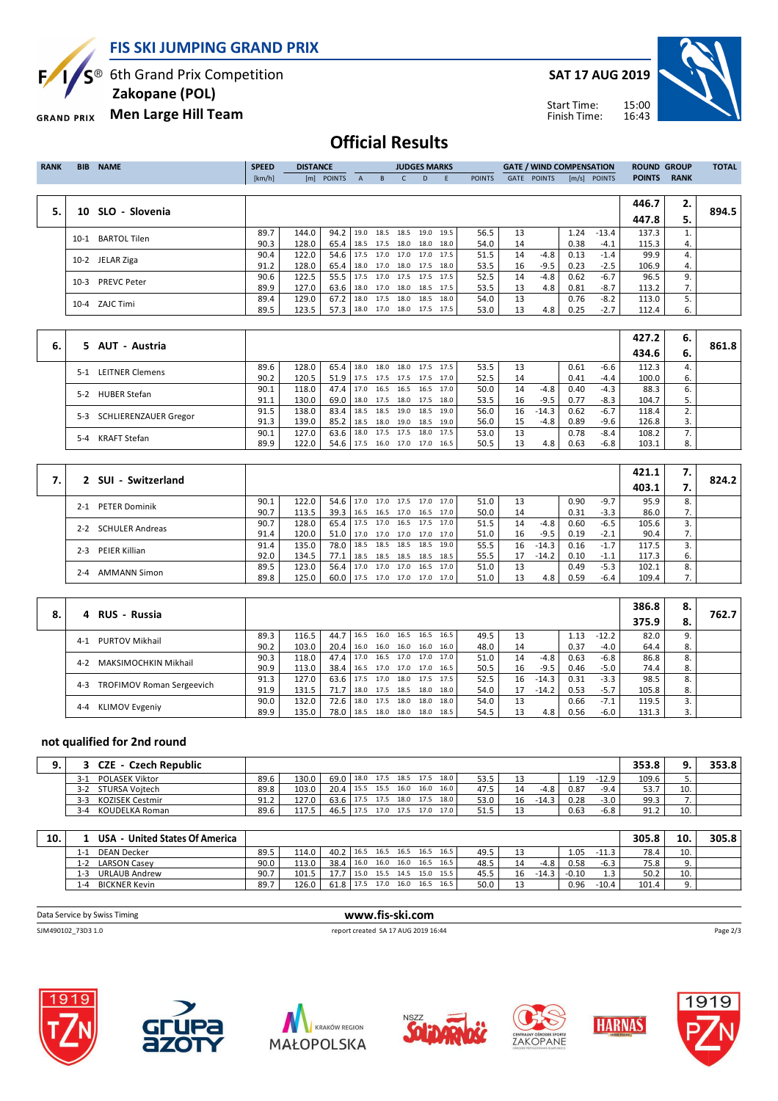**FIS SKI JUMPING GRAND PRIX**

S<sup>®</sup> 6th Grand Prix Competition E

 **Zakopane (POL)**

**Men Large Hill Team GRAND PRIX** 

**SAT 17 AUG 2019**



Start Time: Finish Time:

## **Official Results**

| <b>RANK</b> | <b>BIB</b> | <b>NAME</b>         | <b>SPEED</b> | <b>DISTANCE</b> |                                 |              |                          | <b>JUDGES MARKS</b> |           |           |               |      | <b>GATE / WIND COMPENSATION</b> |      |                | <b>ROUND GROUP</b> |             | <b>TOTAL</b> |
|-------------|------------|---------------------|--------------|-----------------|---------------------------------|--------------|--------------------------|---------------------|-----------|-----------|---------------|------|---------------------------------|------|----------------|--------------------|-------------|--------------|
|             |            |                     | [km/h]       |                 | [m] POINTS                      | $\mathsf{A}$ | $-B$                     | $-C$                | D         | -E        | <b>POINTS</b> | GATE | <b>POINTS</b>                   |      | $[m/s]$ POINTS | <b>POINTS</b>      | <b>RANK</b> |              |
|             |            |                     |              |                 |                                 |              |                          |                     |           |           |               |      |                                 |      |                |                    |             |              |
|             |            |                     |              |                 |                                 |              |                          |                     |           |           |               |      |                                 |      |                | 446.7              | 2.          |              |
| 5.          |            | 10 SLO - Slovenia   |              |                 |                                 |              |                          |                     |           |           |               |      |                                 |      |                | 447.8              | 5.          | 894.5        |
|             | $10-1$     | <b>BARTOL Tilen</b> | 89.7         | 144.0           | 94.2                            |              | 19.0 18.5 18.5           |                     | 19.0      | 19.5      | 56.5          | 13   |                                 | 1.24 | $-13.4$        | 137.3              |             |              |
|             |            |                     | 90.3         | 128.0           | 65.4 18.5 17.5 18.0             |              |                          |                     | 18.0 18.0 |           | 54.0          | 14   |                                 | 0.38 | $-4.1$         | 115.3              | 4.          |              |
|             |            | 10-2 JELAR Ziga     | 90.4         | 122.0           | 54.6                            |              | 17.5 17.0 17.0           |                     |           | 17.0 17.5 | 51.5          | 14   | $-4.8$                          | 0.13 | $-1.4$         | 99.9               | 4.          |              |
|             |            |                     | 91.2         | 128.0           | 65.4   18.0 17.0 18.0 17.5 18.0 |              |                          |                     |           |           | 53.5          | 16   | $-9.5$                          | 0.23 | $-2.5$         | 106.9              | 4.          |              |
|             | $10-3$     | <b>PREVC Peter</b>  | 90.6         | 122.5           | 55.5                            |              | 17.5 17.0 17.5 17.5 17.5 |                     |           |           | 52.5          | 14   | $-4.8$                          | 0.62 | $-6.7$         | 96.5               | 9.          |              |
|             |            |                     | 89.9         | 127.0           | 63.6 18.0 17.0 18.0 18.5 17.5   |              |                          |                     |           |           | 53.5          | 13   | 4.8                             | 0.81 | -8.7           | 113.2              | 7.          |              |
|             |            | 10-4 ZAJC Timi      | 89.4         | 129.0           | 67.2                            |              | 18.0 17.5 18.0           |                     |           | 18.5 18.0 | 54.0          | 13   |                                 | 0.76 | $-8.2$         | 113.0              | 5.          |              |
|             |            |                     | 89.5         | 123.5           | 57.3                            |              | 18.0 17.0 18.0 17.5 17.5 |                     |           |           | 53.0          | 13   | 4.8                             | 0.25 | $-2.7$         | 112.4              | 6.          |              |

|    |                                 |      |       |               |      |      |      |                     |      |    |         |      |        | 427.2 | 6. |       |
|----|---------------------------------|------|-------|---------------|------|------|------|---------------------|------|----|---------|------|--------|-------|----|-------|
| 6. | 5 AUT - Austria                 |      |       |               |      |      |      |                     |      |    |         |      |        | 434.6 | 6. | 861.8 |
|    | <b>LEITNER Clemens</b><br>$5-1$ | 89.6 | 128.0 | $65.4$   18.0 |      | 18.0 | 18.0 | 17.5 17.5           | 53.5 | 13 |         | 0.61 | $-6.6$ | 112.3 |    |       |
|    |                                 | 90.2 | 120.5 | 51.9 l        | 17.5 | 17.5 |      | 17.5 17.5 17.0      | 52.5 | 14 |         | 0.41 | $-4.4$ | 100.0 | 6. |       |
|    | <b>HUBER Stefan</b><br>$5-2$    | 90.1 | 118.0 | 47.4 17.0     |      |      |      | 16.5 16.5 16.5 17.0 | 50.0 | 14 | $-4.8$  | 0.40 | $-4.3$ | 88.3  | ь. |       |
|    |                                 | 91.1 | 130.0 | 69.0          | 18.0 | 17.5 |      | 18.0 17.5 18.0      | 53.5 | 16 | $-9.5$  | 0.77 | $-8.3$ | 104.7 |    |       |
|    | SCHLIERENZAUER Gregor<br>5-3    | 91.5 | 138.0 | 83.4          | 18.5 | 18.5 | 19.0 | 18.5 19.0           | 56.0 | 16 | $-14.3$ | 0.62 | $-6.7$ | 118.4 |    |       |
|    |                                 | 91.3 | 139.0 | $85.2$   18.5 |      | 18.0 |      | 19.0 18.5 19.0      | 56.0 | 15 | $-4.8$  | 0.89 | $-9.6$ | 126.8 | 3. |       |
|    | <b>KRAFT Stefan</b><br>$5 - 4$  | 90.1 | 127.0 | 63.6          | 18.0 | 17.5 | 17.5 | 18.0 17.5           | 53.0 | 13 |         | 0.78 | $-8.4$ | 108.2 |    |       |
|    |                                 | 89.9 | 122.0 | 54.6 17.5     |      | 16.0 | 17.0 | 17.0 16.5           | 50.5 | 13 | 4.8     | 0.63 | $-6.8$ | 103.1 | 8. |       |

|      |                                 |      |       |                                 |      |  |                     |      |      |    |         |      |        | 421.1 | $\mathbf{L}$ |       |
|------|---------------------------------|------|-------|---------------------------------|------|--|---------------------|------|------|----|---------|------|--------|-------|--------------|-------|
| 7. ' | 2 SUI - Switzerland             |      |       |                                 |      |  |                     |      |      |    |         |      |        | 403.1 |              | 824.2 |
|      | <b>PETER Dominik</b><br>$2 - 1$ | 90.1 | 122.0 | 54.6 17.0                       |      |  | 17.0 17.5 17.0      | 17.0 | 51.0 | 13 |         | 0.90 | $-9.7$ | 95.9  | 8.           |       |
|      |                                 | 90.7 | 113.5 | 39.3   16.5 16.5 17.0 16.5 17.0 |      |  |                     |      | 50.0 | 14 |         | 0.31 | $-3.3$ | 86.0  | $\prime$ .   |       |
|      | 2-2 SCHULER Andreas             | 90.7 | 128.0 | $65.4$   17.5                   |      |  | 17.0 16.5 17.5 17.0 |      | 51.5 | 14 | $-4.8$  | 0.60 | $-6.5$ | 105.6 |              |       |
|      |                                 | 91.4 | 120.0 | 51.0 17.0                       |      |  | 17.0 17.0 17.0 17.0 |      | 51.0 | 16 | $-9.5$  | 0.19 | $-2.1$ | 90.4  | 7.           |       |
|      | PEIER Killian<br>$2 - 3$        | 91.4 | 135.0 | 78.0   18.5 18.5 18.5 18.5 19.0 |      |  |                     |      | 55.5 | 16 | $-14.3$ | 0.16 | $-1.7$ | 117.5 |              |       |
|      |                                 | 92.0 | 134.5 | 77.1                            | 18.5 |  | 18.5 18.5 18.5 18.5 |      | 55.5 | 17 | $-14.2$ | 0.10 | $-1.1$ | 117.3 | ь.           |       |
|      | <b>AMMANN Simon</b><br>$2 - 4$  | 89.5 | 123.0 | $56.4$ 17.0                     |      |  | 17.0 17.0 16.5 17.0 |      | 51.0 | 13 |         | 0.49 | $-5.3$ | 102.1 | 8.           |       |
|      |                                 | 89.8 | 125.0 | 60.0   17.5 17.0 17.0 17.0 17.0 |      |  |                     |      | 51.0 | 13 | 4.8     | 0.59 | $-6.4$ | 109.4 | $\prime$ .   |       |

|    | <b>RUS - Russia</b>                         |      |       |                                 |                |           |      |      |    |         |      |         | 386.8 | 8. | 762.7 |
|----|---------------------------------------------|------|-------|---------------------------------|----------------|-----------|------|------|----|---------|------|---------|-------|----|-------|
| 8. | 4                                           |      |       |                                 |                |           |      |      |    |         |      |         | 375.9 | 8. |       |
|    | <b>PURTOV Mikhail</b><br>$4 - 1$            | 89.3 | 116.5 | 44.7   16.5                     | 16.0 16.5      | 16.5      | 16.5 | 49.5 | 13 |         | 1.13 | $-12.2$ | 82.0  | 9. |       |
|    |                                             | 90.2 | 103.0 | 20.4 16.0 16.0 16.0 16.0 16.0   |                |           |      | 48.0 | 14 |         | 0.37 | $-4.0$  | 64.4  | 8. |       |
|    | MAKSIMOCHKIN Mikhail<br>$4 - 2$             | 90.3 | 118.0 | 47.4 17.0 16.5 17.0 17.0        |                |           | 17.0 | 51.0 | 14 | -4.8    | 0.63 | $-6.8$  | 86.8  |    |       |
|    |                                             | 90.9 | 113.0 | 38.4   16.5 17.0 17.0 17.0 16.5 |                |           |      | 50.5 | 16 | $-9.5$  | 0.46 | $-5.0$  | 74.4  | 8. |       |
|    | <b>TROFIMOV Roman Sergeevich</b><br>$4 - 3$ | 91.3 | 127.0 | 63.6   17.5 17.0 18.0 17.5 17.5 |                |           |      | 52.5 | 16 | $-14.3$ | 0.31 | $-3.3$  | 98.5  |    |       |
|    |                                             | 91.9 | 131.5 | 71.7 18.0                       | 17.5 18.5 18.0 |           | 18.0 | 54.0 | 17 | $-14.2$ | 0.53 | $-5.7$  | 105.8 | 8. |       |
|    | <b>KLIMOV Evgeniy</b><br>$4 - 4$            | 90.0 | 132.0 | 72.6 18.0                       | 17.5           | 18.0 18.0 | 18.0 | 54.0 | 13 |         | 0.66 | $-7.1$  | 119.5 |    |       |
|    |                                             | 89.9 | 135.0 | 78.0 18.5 18.0 18.0 18.0 18.5   |                |           |      | 54.5 | 13 | 4.8     | 0.56 | $-6.0$  | 131.3 |    |       |

## **not qualified for 2nd round**

| <b>CZE - Czech Republic</b>    |      |       |                               |      |                |      |      |    |         |      |         | 353.8              |          | 353.8 |
|--------------------------------|------|-------|-------------------------------|------|----------------|------|------|----|---------|------|---------|--------------------|----------|-------|
| <b>POLASEK Viktor</b><br>$3-1$ | 89.6 | 130.0 | 69.0 18.0 17.5 18.5 17.5 18.0 |      |                |      | 53.5 | 13 |         | 1.19 | $-12.9$ | 109.6              | <u>.</u> |       |
| STURSA Voitech<br>$3-2$        | 89.8 | 103.0 | 20.4 15.5 15.5 16.0 16.0      |      |                | 16.0 | 47.5 | 14 | -4.8    | 0.87 | $-9.4$  | 53.7               | 10.      |       |
| KOZISEK Cestmir<br>$3-3$       | 91.2 | 127.0 | 63.6 17.5                     |      | 17.5 18.0 17.5 | 18.0 | 53.0 | 16 | $-14.3$ | 0.28 | $-3.0$  | 99.3               |          |       |
| KOUDELKA Roman<br>$3 - 4$      | 89.6 | 117.5 | 46.5                          | 17.5 | 17.0 17.5 17.0 | 17.0 | 51.5 |    |         | 0.63 | $-6.8$  | 912<br><u>JI.L</u> | 10.      |       |

| 10. | - United States Of America<br><b>USA</b> |      |       |                          |      |           |      |      |           |      |    |         |         |         | 305.8 | 10. | 305.8 |
|-----|------------------------------------------|------|-------|--------------------------|------|-----------|------|------|-----------|------|----|---------|---------|---------|-------|-----|-------|
|     | <b>DEAN Decker</b><br>1-1                | 89.5 | 114.0 | 40.2 16.5 16.5 16.5 16.5 |      |           |      |      | 16.5      | 49.5 |    |         | 1.05    | $-11.3$ | 78.4  | 10. |       |
|     | <b>LARSON Casey</b><br>1-2               | 90.0 | 113.0 | 38.4                     | 16.0 | 16.0      | 16.0 | 16.5 | 16.5      | 48.5 |    | $-4.8$  | 0.58    | $-6.3$  | 75.8  |     |       |
|     | <b>URLAUB Andrew</b><br>1-3              | 90.7 | 101.5 |                          | 15.0 | 15.5 14.5 |      |      | 15.0 15.5 | 45.5 | 16 | $-14.3$ | $-0.10$ |         | 50.2  | 10. |       |
|     | <b>BICKNER Kevin</b><br>l -4             | 89.7 | 126.0 | 61.8                     | 17.5 | 17.0      | 16.0 | 16.5 | 16.5      | 50.0 |    |         | 0.96    | $-10.4$ | 101.4 |     |       |

| Data Service by Swiss Timing | www.fis-ski.com                     |          |
|------------------------------|-------------------------------------|----------|
| SJM490102 73D3 1.0           | report created SA 17 AUG 2019 16:44 | Page 2/3 |